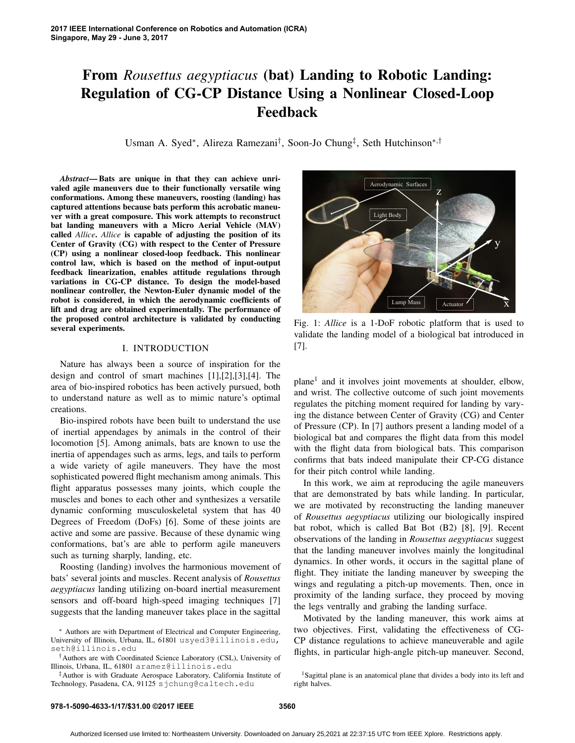# From *Rousettus aegyptiacus* (bat) Landing to Robotic Landing: Regulation of CG-CP Distance Using a Nonlinear Closed-Loop Feedback

Usman A. Syed∗, Alireza Ramezani†, Soon-Jo Chung‡, Seth Hutchinson∗,†

*Abstract*— Bats are unique in that they can achieve unrivaled agile maneuvers due to their functionally versatile wing conformations. Among these maneuvers, roosting (landing) has captured attentions because bats perform this acrobatic maneuver with a great composure. This work attempts to reconstruct bat landing maneuvers with a Micro Aerial Vehicle (MAV) called *Allice*. *Allice* is capable of adjusting the position of its Center of Gravity (CG) with respect to the Center of Pressure (CP) using a nonlinear closed-loop feedback. This nonlinear control law, which is based on the method of input-output feedback linearization, enables attitude regulations through variations in CG-CP distance. To design the model-based nonlinear controller, the Newton-Euler dynamic model of the robot is considered, in which the aerodynamic coefficients of lift and drag are obtained experimentally. The performance of the proposed control architecture is validated by conducting several experiments.

### I. INTRODUCTION

Nature has always been a source of inspiration for the design and control of smart machines [1],[2],[3],[4]. The area of bio-inspired robotics has been actively pursued, both to understand nature as well as to mimic nature's optimal creations.

Bio-inspired robots have been built to understand the use of inertial appendages by animals in the control of their locomotion [5]. Among animals, bats are known to use the inertia of appendages such as arms, legs, and tails to perform a wide variety of agile maneuvers. They have the most sophisticated powered flight mechanism among animals. This flight apparatus possesses many joints, which couple the muscles and bones to each other and synthesizes a versatile dynamic conforming musculoskeletal system that has 40 Degrees of Freedom (DoFs) [6]. Some of these joints are active and some are passive. Because of these dynamic wing conformations, bat's are able to perform agile maneuvers such as turning sharply, landing, etc.

Roosting (landing) involves the harmonious movement of bats' several joints and muscles. Recent analysis of *Rousettus aegyptiacus* landing utilizing on-board inertial measurement sensors and off-board high-speed imaging techniques [7] suggests that the landing maneuver takes place in the sagittal



Fig. 1: *Allice* is a 1-DoF robotic platform that is used to validate the landing model of a biological bat introduced in [7].

plane1 and it involves joint movements at shoulder, elbow, and wrist. The collective outcome of such joint movements regulates the pitching moment required for landing by varying the distance between Center of Gravity (CG) and Center of Pressure (CP). In [7] authors present a landing model of a biological bat and compares the flight data from this model with the flight data from biological bats. This comparison confirms that bats indeed manipulate their CP-CG distance for their pitch control while landing.

In this work, we aim at reproducing the agile maneuvers that are demonstrated by bats while landing. In particular, we are motivated by reconstructing the landing maneuver of *Rousettus aegyptiacus* utilizing our biologically inspired bat robot, which is called Bat Bot (B2) [8], [9]. Recent observations of the landing in *Rousettus aegyptiacus* suggest that the landing maneuver involves mainly the longitudinal dynamics. In other words, it occurs in the sagittal plane of flight. They initiate the landing maneuver by sweeping the wings and regulating a pitch-up movements. Then, once in proximity of the landing surface, they proceed by moving the legs ventrally and grabing the landing surface.

Motivated by the landing maneuver, this work aims at two objectives. First, validating the effectiveness of CG-CP distance regulations to achieve maneuverable and agile flights, in particular high-angle pitch-up maneuver. Second,

<sup>∗</sup> Authors are with Department of Electrical and Computer Engineering, University of Illinois, Urbana, IL, 61801 usyed3@illinois.edu, seth@illinois.edu

<sup>†</sup>Authors are with Coordinated Science Laboratory (CSL), University of Illinois, Urbana, IL, 61801 aramez@illinois.edu

<sup>‡</sup>Author is with Graduate Aerospace Laboratory, California Institute of Technology, Pasadena, CA, 91125 sjchung@caltech.edu

<sup>&</sup>lt;sup>1</sup>Sagittal plane is an anatomical plane that divides a body into its left and right halves.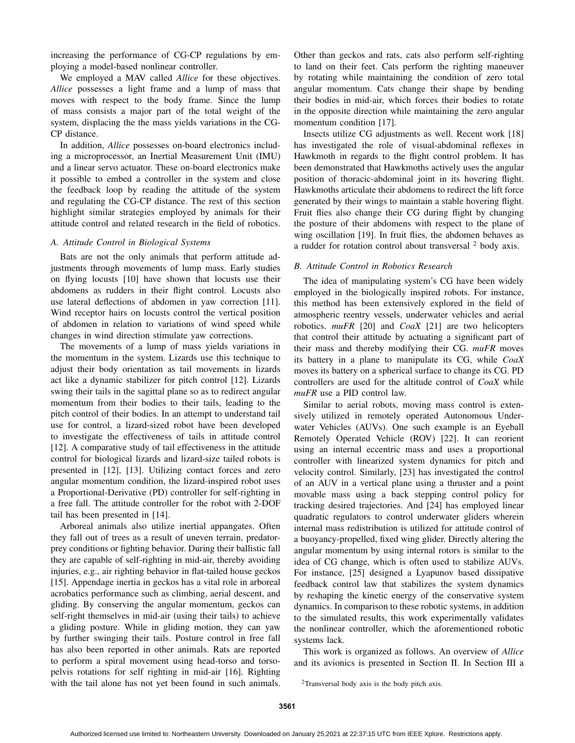increasing the performance of CG-CP regulations by employing a model-based nonlinear controller.

We employed a MAV called *Allice* for these objectives. *Allice* possesses a light frame and a lump of mass that moves with respect to the body frame. Since the lump of mass consists a major part of the total weight of the system, displacing the the mass yields variations in the CG-CP distance.

In addition, *Allice* possesses on-board electronics including a microprocessor, an Inertial Measurement Unit (IMU) and a linear servo actuator. These on-board electronics make it possible to embed a controller in the system and close the feedback loop by reading the attitude of the system and regulating the CG-CP distance. The rest of this section highlight similar strategies employed by animals for their attitude control and related research in the field of robotics.

# *A. Attitude Control in Biological Systems*

Bats are not the only animals that perform attitude adjustments through movements of lump mass. Early studies on flying locusts [10] have shown that locusts use their abdomens as rudders in their flight control. Locusts also use lateral deflections of abdomen in yaw correction [11]. Wind receptor hairs on locusts control the vertical position of abdomen in relation to variations of wind speed while changes in wind direction stimulate yaw corrections.

The movements of a lump of mass yields variations in the momentum in the system. Lizards use this technique to adjust their body orientation as tail movements in lizards act like a dynamic stabilizer for pitch control [12]. Lizards swing their tails in the sagittal plane so as to redirect angular momentum from their bodies to their tails, leading to the pitch control of their bodies. In an attempt to understand tail use for control, a lizard-sized robot have been developed to investigate the effectiveness of tails in attitude control [12]. A comparative study of tail effectiveness in the attitude control for biological lizards and lizard-size tailed robots is presented in [12], [13]. Utilizing contact forces and zero angular momentum condition, the lizard-inspired robot uses a Proportional-Derivative (PD) controller for self-righting in a free fall. The attitude controller for the robot with 2-DOF tail has been presented in [14].

Arboreal animals also utilize inertial appangates. Often they fall out of trees as a result of uneven terrain, predatorprey conditions or fighting behavior. During their ballistic fall they are capable of self-righting in mid-air, thereby avoiding injuries, e.g., air righting behavior in flat-tailed house geckos [15]. Appendage inertia in geckos has a vital role in arboreal acrobatics performance such as climbing, aerial descent, and gliding. By conserving the angular momentum, geckos can self-right themselves in mid-air (using their tails) to achieve a gliding posture. While in gliding motion, they can yaw by further swinging their tails. Posture control in free fall has also been reported in other animals. Rats are reported to perform a spiral movement using head-torso and torsopelvis rotations for self righting in mid-air [16]. Righting with the tail alone has not yet been found in such animals.

Other than geckos and rats, cats also perform self-righting to land on their feet. Cats perform the righting maneuver by rotating while maintaining the condition of zero total angular momentum. Cats change their shape by bending their bodies in mid-air, which forces their bodies to rotate in the opposite direction while maintaining the zero angular momentum condition [17].

Insects utilize CG adjustments as well. Recent work [18] has investigated the role of visual-abdominal reflexes in Hawkmoth in regards to the flight control problem. It has been demonstrated that Hawkmoths actively uses the angular position of thoracic-abdominal joint in its hovering flight. Hawkmoths articulate their abdomens to redirect the lift force generated by their wings to maintain a stable hovering flight. Fruit flies also change their CG during flight by changing the posture of their abdomens with respect to the plane of wing oscillation [19]. In fruit flies, the abdomen behaves as a rudder for rotation control about transversal <sup>2</sup> body axis.

# *B. Attitude Control in Robotics Research*

The idea of manipulating system's CG have been widely employed in the biologically inspired robots. For instance, this method has been extensively explored in the field of atmospheric reentry vessels, underwater vehicles and aerial robotics. *muFR* [20] and *CoaX* [21] are two helicopters that control their attitude by actuating a significant part of their mass and thereby modifying their CG. *muFR* moves its battery in a plane to manipulate its CG, while *CoaX* moves its battery on a spherical surface to change its CG. PD controllers are used for the altitude control of *CoaX* while *muFR* use a PID control law.

Similar to aerial robots, moving mass control is extensively utilized in remotely operated Autonomous Underwater Vehicles (AUVs). One such example is an Eyeball Remotely Operated Vehicle (ROV) [22]. It can reorient using an internal eccentric mass and uses a proportional controller with linearized system dynamics for pitch and velocity control. Similarly, [23] has investigated the control of an AUV in a vertical plane using a thruster and a point movable mass using a back stepping control policy for tracking desired trajectories. And [24] has employed linear quadratic regulators to control underwater gliders wherein internal mass redistribution is utilized for attitude control of a buoyancy-propelled, fixed wing glider. Directly altering the angular momentum by using internal rotors is similar to the idea of CG change, which is often used to stabilize AUVs. For instance, [25] designed a Lyapunov based dissipative feedback control law that stabilizes the system dynamics by reshaping the kinetic energy of the conservative system dynamics. In comparison to these robotic systems, in addition to the simulated results, this work experimentally validates the nonlinear controller, which the aforementioned robotic systems lack.

This work is organized as follows. An overview of *Allice* and its avionics is presented in Section II. In Section III a

<sup>2</sup>Transversal body axis is the body pitch axis.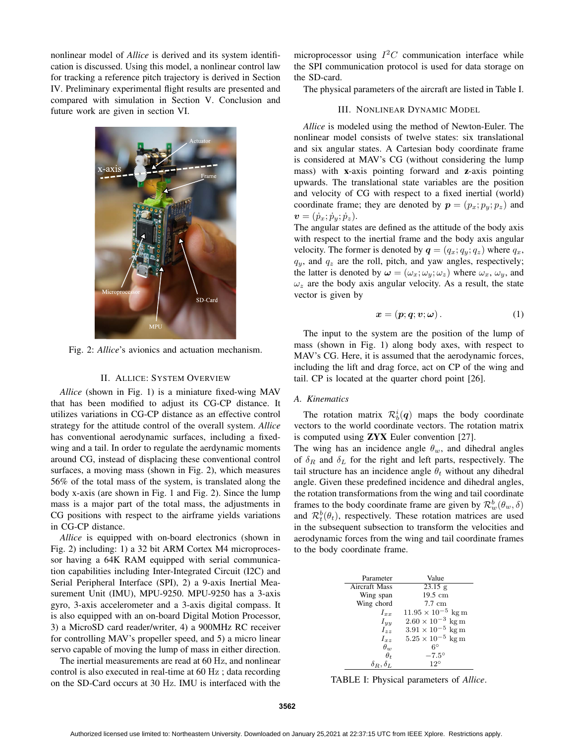nonlinear model of *Allice* is derived and its system identification is discussed. Using this model, a nonlinear control law for tracking a reference pitch trajectory is derived in Section IV. Preliminary experimental flight results are presented and compared with simulation in Section V. Conclusion and future work are given in section VI.



Fig. 2: *Allice*'s avionics and actuation mechanism.

#### II. ALLICE: SYSTEM OVERVIEW

*Allice* (shown in Fig. 1) is a miniature fixed-wing MAV that has been modified to adjust its CG-CP distance. It utilizes variations in CG-CP distance as an effective control strategy for the attitude control of the overall system. *Allice* has conventional aerodynamic surfaces, including a fixedwing and a tail. In order to regulate the aerdynamic moments around CG, instead of displacing these conventional control surfaces, a moving mass (shown in Fig. 2), which measures 56% of the total mass of the system, is translated along the body x-axis (are shown in Fig. 1 and Fig. 2). Since the lump mass is a major part of the total mass, the adjustments in CG positions with respect to the airframe yields variations in CG-CP distance.

*Allice* is equipped with on-board electronics (shown in Fig. 2) including: 1) a 32 bit ARM Cortex M4 microprocessor having a 64K RAM equipped with serial communication capabilities including Inter-Integrated Circuit (I2C) and Serial Peripheral Interface (SPI), 2) a 9-axis Inertial Measurement Unit (IMU), MPU-9250. MPU-9250 has a 3-axis gyro, 3-axis accelerometer and a 3-axis digital compass. It is also equipped with an on-board Digital Motion Processor, 3) a MicroSD card reader/writer, 4) a 900MHz RC receiver for controlling MAV's propeller speed, and 5) a micro linear servo capable of moving the lump of mass in either direction.

The inertial measurements are read at 60 Hz, and nonlinear control is also executed in real-time at 60 Hz ; data recording on the SD-Card occurs at 30 Hz. IMU is interfaced with the

microprocessor using  $I<sup>2</sup>C$  communication interface while the SPI communication protocol is used for data storage on the SD-card.

The physical parameters of the aircraft are listed in Table I.

# III. NONLINEAR DYNAMIC MODEL

*Allice* is modeled using the method of Newton-Euler. The nonlinear model consists of twelve states: six translational and six angular states. A Cartesian body coordinate frame is considered at MAV's CG (without considering the lump mass) with x-axis pointing forward and z-axis pointing upwards. The translational state variables are the position and velocity of CG with respect to a fixed inertial (world) coordinate frame; they are denoted by  $p = (p_x; p_y; p_z)$  and  $\mathbf{v}=(\dot{p}_x;\dot{p}_y;\dot{p}_z).$ 

The angular states are defined as the attitude of the body axis with respect to the inertial frame and the body axis angular velocity. The former is denoted by  $q = (q_x; q_y; q_z)$  where  $q_x$ ,  $q_y$ , and  $q_z$  are the roll, pitch, and yaw angles, respectively; the latter is denoted by  $\boldsymbol{\omega} = (\omega_x; \omega_y; \omega_z)$  where  $\omega_x$ ,  $\omega_y$ , and  $\omega_z$  are the body axis angular velocity. As a result, the state vector is given by

$$
x = (p; q; v; \omega). \tag{1}
$$

The input to the system are the position of the lump of mass (shown in Fig. 1) along body axes, with respect to MAV's CG. Here, it is assumed that the aerodynamic forces, including the lift and drag force, act on CP of the wing and tail. CP is located at the quarter chord point [26].

#### *A. Kinematics*

The rotation matrix  $\mathcal{R}_b^i(q)$  maps the body coordinate vectors to the world coordinate vectors. The rotation matrix is computed using ZYX Euler convention [27].

The wing has an incidence angle  $\theta_w$ , and dihedral angles of  $\delta_R$  and  $\delta_L$  for the right and left parts, respectively. The tail structure has an incidence angle  $\theta_t$  without any dihedral angle. Given these predefined incidence and dihedral angles, the rotation transformations from the wing and tail coordinate frames to the body coordinate frame are given by  $\mathcal{R}_w^b(\theta_w, \delta)$ and  $\mathcal{R}_t^b(\theta_t)$ , respectively. These rotation matrices are used in the subsequent subsection to transform the velocities and aerodynamic forces from the wing and tail coordinate frames to the body coordinate frame.

| Parameter            | Value                       |
|----------------------|-----------------------------|
| Aircraft Mass        | $23.15$ g                   |
| Wing span            | $19.5 \text{ cm}$           |
| Wing chord           | $7.7 \text{ cm}$            |
| $I_{xx}$             | $11.95 \times 10^{-5}$ kg m |
| $I_{yy}$             | $2.60 \times 10^{-3}$ kg m  |
| $I_{\gamma\gamma}$   | $3.91 \times 10^{-5}$ kg m  |
| $I_{\tau z}$         | $5.25 \times 10^{-5}$ kg m  |
| $\theta_w$           | $6^{\circ}$                 |
| $\theta_t$           | $-7.5^{\circ}$              |
| $\delta_R, \delta_L$ | $12^{\circ}$                |
|                      |                             |

TABLE I: Physical parameters of *Allice*.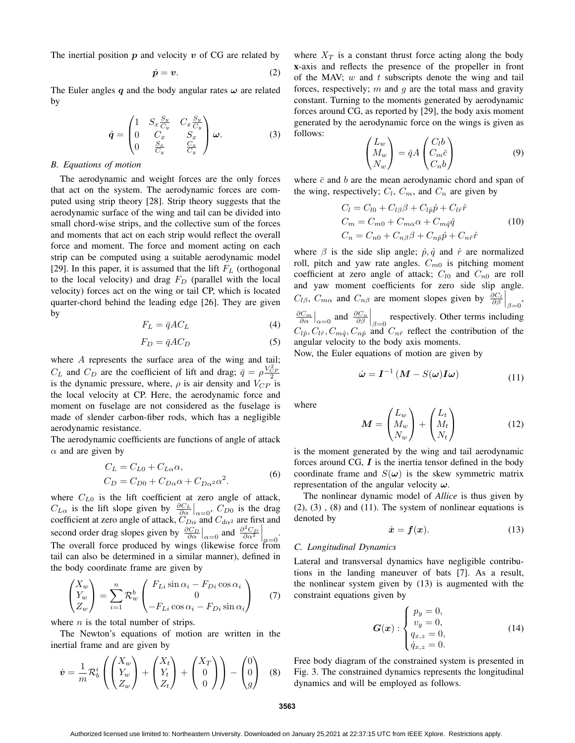The inertial position  $p$  and velocity  $v$  of CG are related by

$$
\dot{p} = v. \tag{2}
$$

The Euler angles *q* and the body angular rates *ω* are related by

$$
\dot{\boldsymbol{q}} = \begin{pmatrix} 1 & S_x \frac{S_y}{C_y} & C_x \frac{S_y}{C_y} \\ 0 & C_x & S_x \\ 0 & \frac{S_x}{C_y} & \frac{C_x}{C_y} \end{pmatrix} \boldsymbol{\omega}.
$$
 (3)

## *B. Equations of motion*

The aerodynamic and weight forces are the only forces that act on the system. The aerodynamic forces are computed using strip theory [28]. Strip theory suggests that the aerodynamic surface of the wing and tail can be divided into small chord-wise strips, and the collective sum of the forces and moments that act on each strip would reflect the overall force and moment. The force and moment acting on each strip can be computed using a suitable aerodynamic model [29]. In this paper, it is assumed that the lift  $F<sub>L</sub>$  (orthogonal to the local velocity) and drag  $F<sub>D</sub>$  (parallel with the local velocity) forces act on the wing or tail CP, which is located quarter-chord behind the leading edge [26]. They are given by

$$
F_L = \bar{q}AC_L \tag{4}
$$

$$
F_D = \bar{q}AC_D \tag{5}
$$

where  $A$  represents the surface area of the wing and tail;  $C_L$  and  $C_D$  are the coefficient of lift and drag;  $\bar{q} = \rho \frac{V_{CP}^2}{2}$ is the dynamic pressure, where,  $\rho$  is air density and  $V_{CP}$  is the local velocity at CP. Here, the aerodynamic force and moment on fuselage are not considered as the fuselage is made of slender carbon-fiber rods, which has a negligible aerodynamic resistance.

The aerodynamic coefficients are functions of angle of attack  $\alpha$  and are given by

$$
C_L = C_{L0} + C_{L\alpha}\alpha,
$$
  
\n
$$
C_D = C_{D0} + C_{D\alpha}\alpha + C_{D\alpha^2}\alpha^2.
$$
\n(6)

where  $C_{L0}$  is the lift coefficient at zero angle of attack,  $C_{L\alpha}$  is the lift slope given by  $\frac{\partial C_L}{\partial \alpha}|_{\alpha=0}$ ,  $C_{D0}$  is the drag coefficient at zero angle of attack,  $C_{D\alpha}$  and  $C_{d\alpha^2}$  are first and second order drag slopes given by  $\frac{\partial C_D}{\partial \alpha}\Big|_{\alpha=0}$  and  $\frac{\partial^2 C_D}{\partial \alpha^2}$ second order drag slopes given by  $\frac{\partial C_D}{\partial \alpha}\Big|_{\alpha=0}$  and  $\frac{\partial^2 C_D}{\partial \alpha^2}\Big|_{\alpha=0}$ .<br>The overall force produced by wings (likewise force from tail can also be determined in a similar manner), defined in the body coordinate frame are given by

$$
\begin{pmatrix} X_w \\ Y_w \\ Z_w \end{pmatrix} = \sum_{i=1}^n \mathcal{R}_w^b \begin{pmatrix} F_{Li} \sin \alpha_i - F_{Di} \cos \alpha_i \\ 0 \\ -F_{Li} \cos \alpha_i - F_{Di} \sin \alpha_i \end{pmatrix} \tag{7}
$$

where  $n$  is the total number of strips.

The Newton's equations of motion are written in the inertial frame and are given by

$$
\dot{\boldsymbol{v}} = \frac{1}{m} \mathcal{R}_b^i \left( \begin{pmatrix} X_w \\ Y_w \\ Z_w \end{pmatrix} + \begin{pmatrix} X_t \\ Y_t \\ Z_t \end{pmatrix} + \begin{pmatrix} X_T \\ 0 \\ 0 \end{pmatrix} \right) - \begin{pmatrix} 0 \\ 0 \\ g \end{pmatrix}
$$
 (8)

where  $X_T$  is a constant thrust force acting along the body x-axis and reflects the presence of the propeller in front of the MAV;  $w$  and  $t$  subscripts denote the wing and tail forces, respectively;  $m$  and  $q$  are the total mass and gravity constant. Turning to the moments generated by aerodynamic forces around CG, as reported by [29], the body axis moment generated by the aerodynamic force on the wings is given as follows:

$$
\begin{pmatrix} L_w \\ M_w \\ N_w \end{pmatrix} = \bar{q}A \begin{pmatrix} C_l b \\ C_m \bar{c} \\ C_n b \end{pmatrix}
$$
 (9)

where  $\bar{c}$  and b are the mean aerodynamic chord and span of the wing, respectively;  $C_l$ ,  $C_m$ , and  $C_n$  are given by

$$
C_l = C_{l0} + C_{l\beta}\beta + C_{l\hat{p}}\hat{p} + C_{l\hat{r}}\hat{r}
$$
  
\n
$$
C_m = C_{m0} + C_{m\alpha}\alpha + C_{m\hat{q}}\hat{q}
$$
  
\n
$$
C_n = C_{n0} + C_{n\beta}\beta + C_{n\hat{p}}\hat{p} + C_{n\hat{r}}\hat{r}
$$
\n(10)

where  $\beta$  is the side slip angle;  $\hat{p}, \hat{q}$  and  $\hat{r}$  are normalized roll, pitch and yaw rate angles.  $C_{m0}$  is pitching moment coefficient at zero angle of attack;  $C_{l0}$  and  $C_{n0}$  are roll and yaw moment coefficients for zero side slip angle.  $C_{l\beta}$ ,  $C_{m\alpha}$  and  $C_{n\beta}$  are moment slopes given by  $\frac{\partial C_l}{\partial \beta}\Big|_{\beta=0}$ ,  $\frac{\partial C_m}{\partial \alpha}\Big|_{\alpha=0}$  and  $\frac{\partial C_n}{\partial \beta}\Big|_{\beta=0}$  respectively. Other terms including  $C_{l\hat{p}}$ ,  $C_{l\hat{r}}$ ,  $C_{m\hat{q}}$ ,  $C_{n\hat{p}}$  and  $C_{n\hat{r}}$  reflect the contribution of the angular velocity to the body axis moments.

Now, the Euler equations of motion are given by

$$
\dot{\boldsymbol{\omega}} = \boldsymbol{I}^{-1} \left( \boldsymbol{M} - S(\boldsymbol{\omega}) \boldsymbol{I} \boldsymbol{\omega} \right) \tag{11}
$$

where

$$
\boldsymbol{M} = \begin{pmatrix} L_w \\ M_w \\ N_w \end{pmatrix} + \begin{pmatrix} L_t \\ M_t \\ N_t \end{pmatrix} \tag{12}
$$

is the moment generated by the wing and tail aerodynamic forces around CG, *I* is the inertia tensor defined in the body coordinate frame and  $S(\omega)$  is the skew symmetric matrix representation of the angular velocity *ω*.

The nonlinear dynamic model of *Allice* is thus given by  $(2)$ ,  $(3)$ ,  $(8)$  and  $(11)$ . The system of nonlinear equations is denoted by

$$
\dot{x} = f(x). \tag{13}
$$

## *C. Longitudinal Dynamics*

Lateral and transversal dynamics have negligible contributions in the landing maneuver of bats [7]. As a result, the nonlinear system given by (13) is augmented with the constraint equations given by

$$
G(x): \begin{cases} p_y = 0, \\ v_y = 0, \\ q_{x,z} = 0, \\ \dot{q}_{x,z} = 0. \end{cases}
$$
 (14)

Free body diagram of the constrained system is presented in Fig. 3. The constrained dynamics represents the longitudinal dynamics and will be employed as follows.

**3563**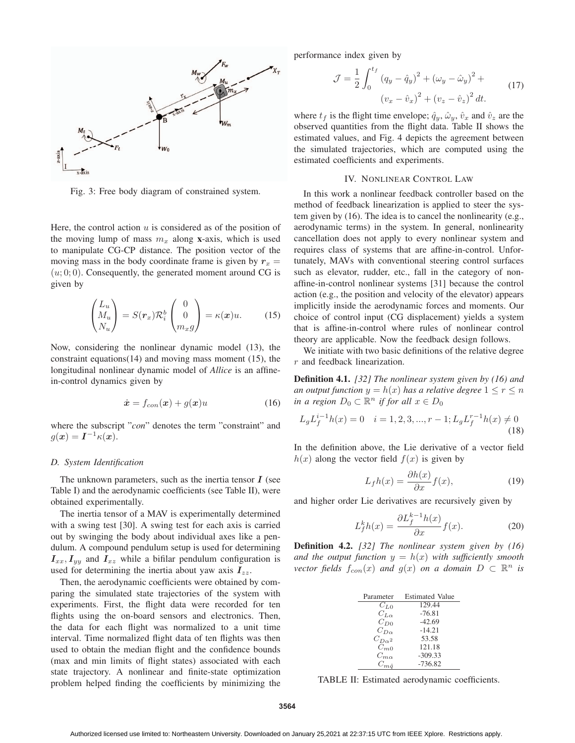

Fig. 3: Free body diagram of constrained system.

Here, the control action  $u$  is considered as of the position of the moving lump of mass  $m_x$  along x-axis, which is used to manipulate CG-CP distance. The position vector of the moving mass in the body coordinate frame is given by  $r_x =$  $(u, 0, 0)$ . Consequently, the generated moment around CG is given by

$$
\begin{pmatrix} L_u \\ M_u \\ N_u \end{pmatrix} = S(r_x) \mathcal{R}_i^b \begin{pmatrix} 0 \\ 0 \\ m_x g \end{pmatrix} = \kappa(x) u. \quad (15)
$$

Now, considering the nonlinear dynamic model (13), the constraint equations(14) and moving mass moment (15), the longitudinal nonlinear dynamic model of *Allice* is an affinein-control dynamics given by

$$
\dot{\boldsymbol{x}} = f_{con}(\boldsymbol{x}) + g(\boldsymbol{x})u \tag{16}
$$

where the subscript "*con*" denotes the term "constraint" and  $g(x) = I^{-1}\kappa(x).$ 

#### *D. System Identification*

The unknown parameters, such as the inertia tensor *I* (see Table I) and the aerodynamic coefficients (see Table II), were obtained experimentally.

The inertia tensor of a MAV is experimentally determined with a swing test [30]. A swing test for each axis is carried out by swinging the body about individual axes like a pendulum. A compound pendulum setup is used for determining  $I_{xx}$ ,  $I_{yy}$  and  $I_{xz}$  while a bifilar pendulum configuration is used for determining the inertia about yaw axis  $I_{zz}$ .

Then, the aerodynamic coefficients were obtained by comparing the simulated state trajectories of the system with experiments. First, the flight data were recorded for ten flights using the on-board sensors and electronics. Then, the data for each flight was normalized to a unit time interval. Time normalized flight data of ten flights was then used to obtain the median flight and the confidence bounds (max and min limits of flight states) associated with each state trajectory. A nonlinear and finite-state optimization problem helped finding the coefficients by minimizing the performance index given by

$$
\mathcal{J} = \frac{1}{2} \int_0^{t_f} (q_y - \hat{q}_y)^2 + (\omega_y - \hat{\omega}_y)^2 + (v_x - \hat{v}_z)^2 dt.
$$
 (17)

where  $t_f$  is the flight time envelope;  $\hat{q}_y$ ,  $\hat{\omega}_y$ ,  $\hat{v}_x$  and  $\hat{v}_z$  are the observed quantities from the flight data. Table II shows the estimated values, and Fig. 4 depicts the agreement between the simulated trajectories, which are computed using the estimated coefficients and experiments.

# IV. NONLINEAR CONTROL LAW

In this work a nonlinear feedback controller based on the method of feedback linearization is applied to steer the system given by (16). The idea is to cancel the nonlinearity (e.g., aerodynamic terms) in the system. In general, nonlinearity cancellation does not apply to every nonlinear system and requires class of systems that are affine-in-control. Unfortunately, MAVs with conventional steering control surfaces such as elevator, rudder, etc., fall in the category of nonaffine-in-control nonlinear systems [31] because the control action (e.g., the position and velocity of the elevator) appears implicitly inside the aerodynamic forces and moments. Our choice of control input (CG displacement) yields a system that is affine-in-control where rules of nonlinear control theory are applicable. Now the feedback design follows.

We initiate with two basic definitions of the relative degree r and feedback linearization.

Definition 4.1. *[32] The nonlinear system given by (16) and an output function*  $y = h(x)$  *has a relative degree*  $1 \le r \le n$ *in a region*  $D_0 \subset \mathbb{R}^n$  *if for all*  $x \in D_0$ 

$$
L_g L_f^{i-1} h(x) = 0 \quad i = 1, 2, 3, ..., r - 1; L_g L_f^{r-1} h(x) \neq 0
$$
\n(18)

In the definition above, the Lie derivative of a vector field  $h(x)$  along the vector field  $f(x)$  is given by

$$
L_f h(x) = \frac{\partial h(x)}{\partial x} f(x),\tag{19}
$$

and higher order Lie derivatives are recursively given by

$$
L_f^k h(x) = \frac{\partial L_f^{k-1} h(x)}{\partial x} f(x).
$$
 (20)

Definition 4.2. *[32] The nonlinear system given by (16) and the output function*  $y = h(x)$  *with sufficiently smooth vector fields*  $f_{con}(x)$  *and*  $g(x)$  *on a domain*  $D \subset \mathbb{R}^n$  *is* 

| Parameter        | <b>Estimated Value</b> |
|------------------|------------------------|
| $C_{L,0}$        | 129.44                 |
| $C_{L_{\alpha}}$ | $-76.81$               |
| $C_{D0}$         | $-42.69$               |
| $C_{D_{\alpha}}$ | $-14.21$               |
| $C_{D\alpha^2}$  | 53.58                  |
| $C_{m,0}$        | 121.18                 |
| $C_{m,\alpha}$   | $-309.33$              |
| $C_{m\hat{a}}$   | $-736.82$              |

TABLE II: Estimated aerodynamic coefficients.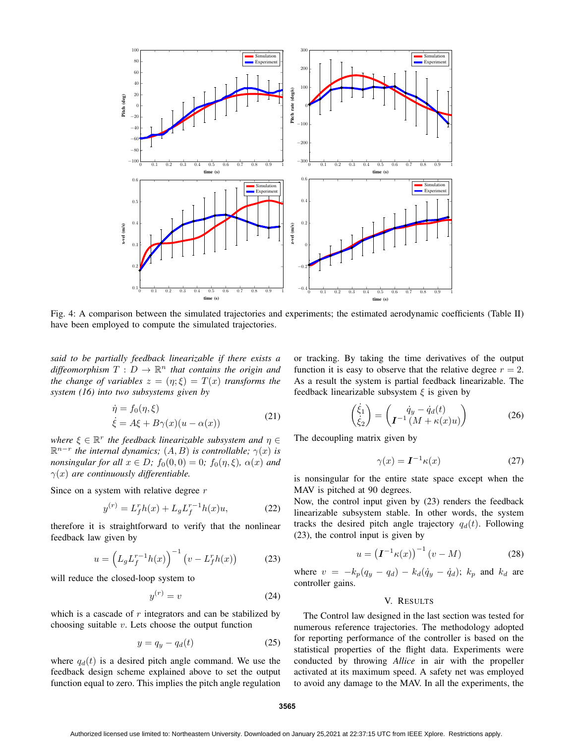

Fig. 4: A comparison between the simulated trajectories and experiments; the estimated aerodynamic coefficients (Table II) have been employed to compute the simulated trajectories.

*said to be partially feedback linearizable if there exists a diffeomorphism*  $T : D \to \mathbb{R}^n$  *that contains the origin and the change of variables*  $z = (\eta; \xi) = T(x)$  *transforms the system (16) into two subsystems given by*

$$
\dot{\eta} = f_0(\eta, \xi) \n\dot{\xi} = A\xi + B\gamma(x)(u - \alpha(x))
$$
\n(21)

*where*  $\xi \in \mathbb{R}^r$  *the feedback linearizable subsystem and*  $\eta \in$  $\mathbb{R}^{n-r}$  *the internal dynamics;*  $(A, B)$  *is controllable;*  $\gamma(x)$  *is nonsingular for all*  $x \in D$ ;  $f_0(0, 0) = 0$ ;  $f_0(\eta, \xi)$ ,  $\alpha(x)$  and  $\gamma(x)$  *are continuously differentiable.* 

Since on a system with relative degree  $r$ 

$$
y^{(r)} = L_f^r h(x) + L_g L_f^{r-1} h(x) u,
$$
 (22)

therefore it is straightforward to verify that the nonlinear feedback law given by

$$
u = \left(L_g L_f^{r-1} h(x)\right)^{-1} \left(v - L_f^r h(x)\right) \tag{23}
$$

will reduce the closed-loop system to

$$
y^{(r)} = v \tag{24}
$$

which is a cascade of  $r$  integrators and can be stabilized by choosing suitable  $v$ . Lets choose the output function

$$
y = q_y - q_d(t) \tag{25}
$$

where  $q_d(t)$  is a desired pitch angle command. We use the feedback design scheme explained above to set the output function equal to zero. This implies the pitch angle regulation or tracking. By taking the time derivatives of the output function it is easy to observe that the relative degree  $r = 2$ . As a result the system is partial feedback linearizable. The feedback linearizable subsystem  $\xi$  is given by

$$
\begin{pmatrix} \dot{\xi}_1\\ \dot{\xi}_2 \end{pmatrix} = \begin{pmatrix} \dot{q}_y - \dot{q}_d(t) \\ I^{-1} \left( M + \kappa(x)u \right) \end{pmatrix} \tag{26}
$$

The decoupling matrix given by

$$
\gamma(x) = \mathbf{I}^{-1}\kappa(x) \tag{27}
$$

is nonsingular for the entire state space except when the MAV is pitched at 90 degrees.

Now, the control input given by (23) renders the feedback linearizable subsystem stable. In other words, the system tracks the desired pitch angle trajectory  $q_d(t)$ . Following (23), the control input is given by

$$
u = \left(\mathbf{I}^{-1}\kappa(x)\right)^{-1}(v - M) \tag{28}
$$

where  $v = -k_p(q_y - q_d) - k_d(\dot{q}_y - \dot{q}_d)$ ;  $k_p$  and  $k_d$  are controller gains.

# V. RESULTS

The Control law designed in the last section was tested for numerous reference trajectories. The methodology adopted for reporting performance of the controller is based on the statistical properties of the flight data. Experiments were conducted by throwing *Allice* in air with the propeller activated at its maximum speed. A safety net was employed to avoid any damage to the MAV. In all the experiments, the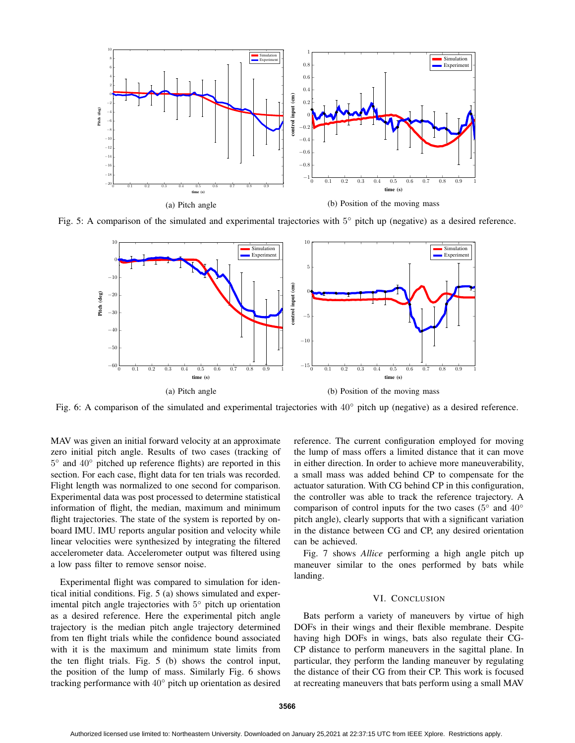

Fig. 5: A comparison of the simulated and experimental trajectories with 5◦ pitch up (negative) as a desired reference.



Fig. 6: A comparison of the simulated and experimental trajectories with 40◦ pitch up (negative) as a desired reference.

MAV was given an initial forward velocity at an approximate zero initial pitch angle. Results of two cases (tracking of 5◦ and 40◦ pitched up reference flights) are reported in this section. For each case, flight data for ten trials was recorded. Flight length was normalized to one second for comparison. Experimental data was post processed to determine statistical information of flight, the median, maximum and minimum flight trajectories. The state of the system is reported by onboard IMU. IMU reports angular position and velocity while linear velocities were synthesized by integrating the filtered accelerometer data. Accelerometer output was filtered using a low pass filter to remove sensor noise.

Experimental flight was compared to simulation for identical initial conditions. Fig. 5 (a) shows simulated and experimental pitch angle trajectories with 5◦ pitch up orientation as a desired reference. Here the experimental pitch angle trajectory is the median pitch angle trajectory determined from ten flight trials while the confidence bound associated with it is the maximum and minimum state limits from the ten flight trials. Fig. 5 (b) shows the control input, the position of the lump of mass. Similarly Fig. 6 shows tracking performance with 40◦ pitch up orientation as desired

reference. The current configuration employed for moving the lump of mass offers a limited distance that it can move in either direction. In order to achieve more maneuverability, a small mass was added behind CP to compensate for the actuator saturation. With CG behind CP in this configuration, the controller was able to track the reference trajectory. A comparison of control inputs for the two cases ( $5°$  and  $40°$ pitch angle), clearly supports that with a significant variation in the distance between CG and CP, any desired orientation can be achieved.

Fig. 7 shows *Allice* performing a high angle pitch up maneuver similar to the ones performed by bats while landing.

# VI. CONCLUSION

Bats perform a variety of maneuvers by virtue of high DOFs in their wings and their flexible membrane. Despite having high DOFs in wings, bats also regulate their CG-CP distance to perform maneuvers in the sagittal plane. In particular, they perform the landing maneuver by regulating the distance of their CG from their CP. This work is focused at recreating maneuvers that bats perform using a small MAV